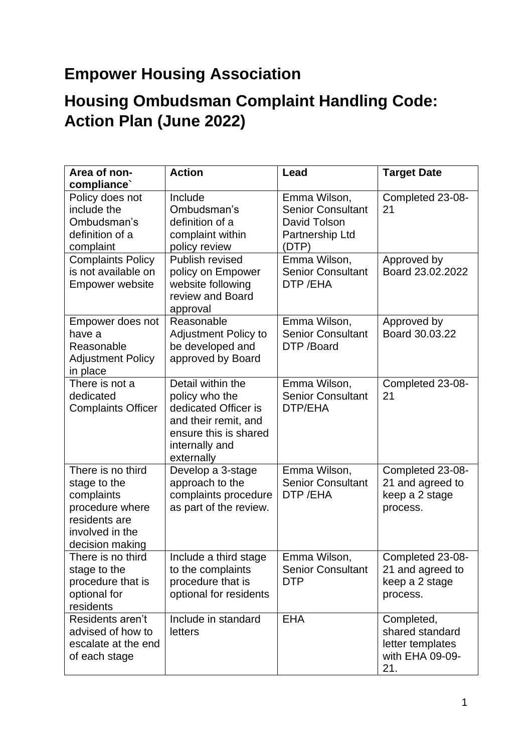## **Empower Housing Association**

## **Housing Ombudsman Complaint Handling Code: Action Plan (June 2022)**

| Area of non-<br>compliance'                                                                                               | <b>Action</b>                                                                                                                                | Lead                                                                                 | <b>Target Date</b>                                                          |
|---------------------------------------------------------------------------------------------------------------------------|----------------------------------------------------------------------------------------------------------------------------------------------|--------------------------------------------------------------------------------------|-----------------------------------------------------------------------------|
| Policy does not<br>include the<br>Ombudsman's<br>definition of a<br>complaint                                             | Include<br>Ombudsman's<br>definition of a<br>complaint within<br>policy review                                                               | Emma Wilson,<br><b>Senior Consultant</b><br>David Tolson<br>Partnership Ltd<br>(DTP) | Completed 23-08-<br>21                                                      |
| <b>Complaints Policy</b><br>is not available on<br><b>Empower website</b>                                                 | Publish revised<br>policy on Empower<br>website following<br>review and Board<br>approval                                                    | Emma Wilson,<br><b>Senior Consultant</b><br>DTP/EHA                                  | Approved by<br>Board 23.02.2022                                             |
| Empower does not<br>have a<br>Reasonable<br><b>Adjustment Policy</b><br>in place                                          | Reasonable<br><b>Adjustment Policy to</b><br>be developed and<br>approved by Board                                                           | Emma Wilson,<br><b>Senior Consultant</b><br>DTP /Board                               | Approved by<br>Board 30.03.22                                               |
| There is not a<br>dedicated<br><b>Complaints Officer</b>                                                                  | Detail within the<br>policy who the<br>dedicated Officer is<br>and their remit, and<br>ensure this is shared<br>internally and<br>externally | Emma Wilson,<br><b>Senior Consultant</b><br>DTP/EHA                                  | Completed 23-08-<br>21                                                      |
| There is no third<br>stage to the<br>complaints<br>procedure where<br>residents are<br>involved in the<br>decision making | Develop a 3-stage<br>approach to the<br>complaints procedure<br>as part of the review.                                                       | Emma Wilson,<br><b>Senior Consultant</b><br>DTP/EHA                                  | Completed 23-08-<br>21 and agreed to<br>keep a 2 stage<br>process.          |
| There is no third<br>stage to the<br>procedure that is<br>optional for<br>residents                                       | Include a third stage<br>to the complaints<br>procedure that is<br>optional for residents                                                    | Emma Wilson,<br><b>Senior Consultant</b><br><b>DTP</b>                               | Completed 23-08-<br>21 and agreed to<br>keep a 2 stage<br>process.          |
| Residents aren't<br>advised of how to<br>escalate at the end<br>of each stage                                             | Include in standard<br>letters                                                                                                               | <b>EHA</b>                                                                           | Completed,<br>shared standard<br>letter templates<br>with EHA 09-09-<br>21. |